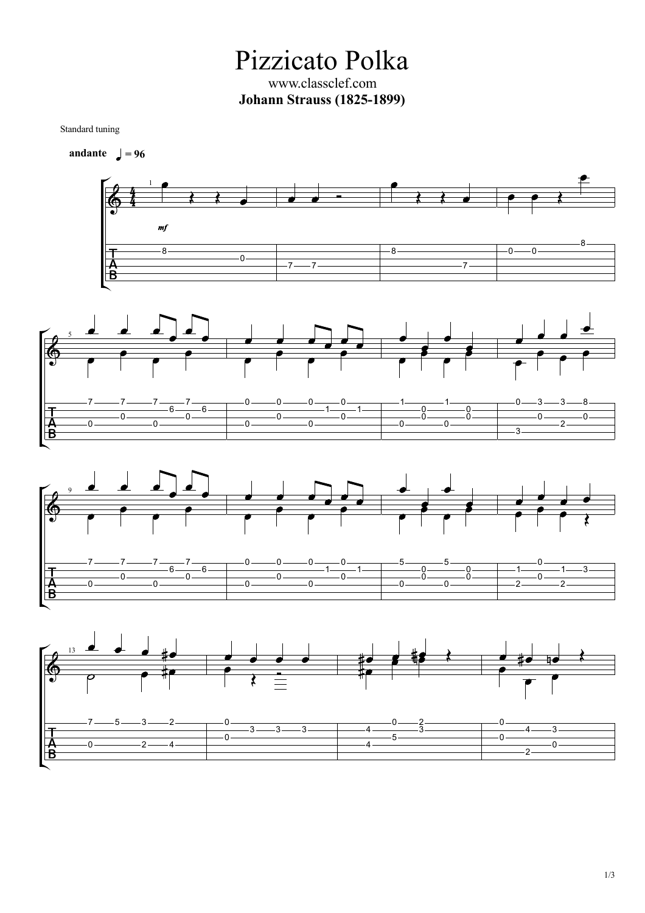Pizzicato Polka www.classclef.com **Johann Strauss (1825-1899)**

Standard tuning







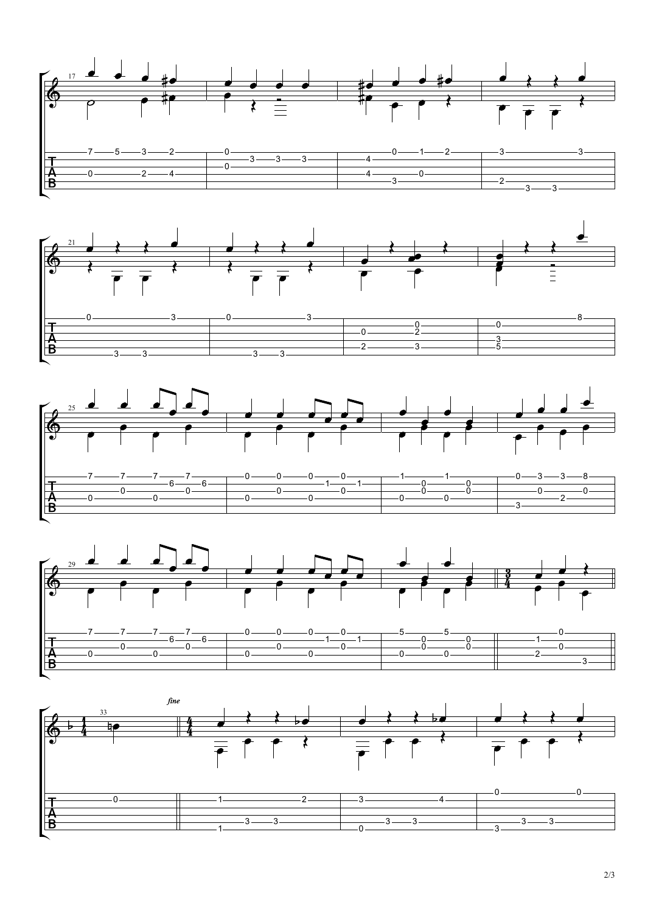